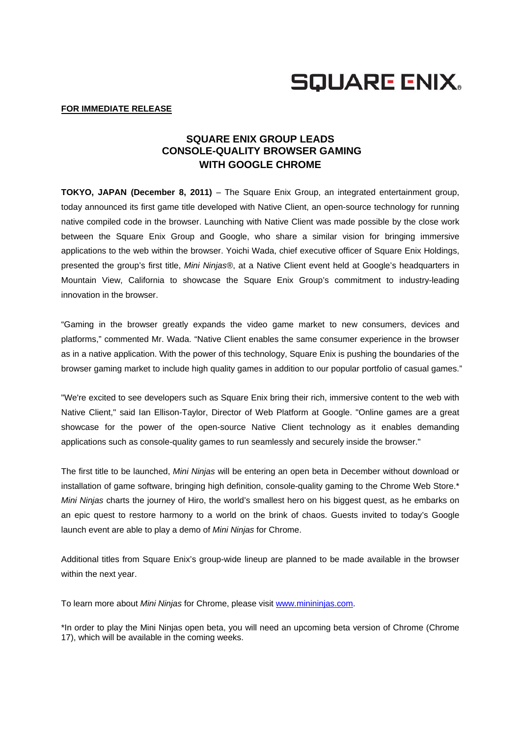

## **FOR IMMEDIATE RELEASE**

## **SQUARE ENIX GROUP LEADS CONSOLE-QUALITY BROWSER GAMING WITH GOOGLE CHROME**

**TOKYO, JAPAN (December 8, 2011)** – The Square Enix Group, an integrated entertainment group, today announced its first game title developed with Native Client, an open-source technology for running native compiled code in the browser. Launching with Native Client was made possible by the close work between the Square Enix Group and Google, who share a similar vision for bringing immersive applications to the web within the browser. Yoichi Wada, chief executive officer of Square Enix Holdings, presented the group's first title, *Mini Ninjas®*, at a Native Client event held at Google's headquarters in Mountain View, California to showcase the Square Enix Group's commitment to industry-leading innovation in the browser.

"Gaming in the browser greatly expands the video game market to new consumers, devices and platforms," commented Mr. Wada. "Native Client enables the same consumer experience in the browser as in a native application. With the power of this technology, Square Enix is pushing the boundaries of the browser gaming market to include high quality games in addition to our popular portfolio of casual games."

"We're excited to see developers such as Square Enix bring their rich, immersive content to the web with Native Client," said Ian Ellison-Taylor, Director of Web Platform at Google. "Online games are a great showcase for the power of the open-source Native Client technology as it enables demanding applications such as console-quality games to run seamlessly and securely inside the browser."

The first title to be launched, *Mini Ninjas* will be entering an open beta in December without download or installation of game software, bringing high definition, console-quality gaming to the Chrome Web Store.\* *Mini Ninjas* charts the journey of Hiro, the world's smallest hero on his biggest quest, as he embarks on an epic quest to restore harmony to a world on the brink of chaos. Guests invited to today's Google launch event are able to play a demo of *Mini Ninjas* for Chrome.

Additional titles from Square Enix's group-wide lineup are planned to be made available in the browser within the next year.

To learn more about *Mini Ninjas* for Chrome, please visit www.minininjas.com.

\*In order to play the Mini Ninjas open beta, you will need an upcoming beta version of Chrome (Chrome 17), which will be available in the coming weeks.